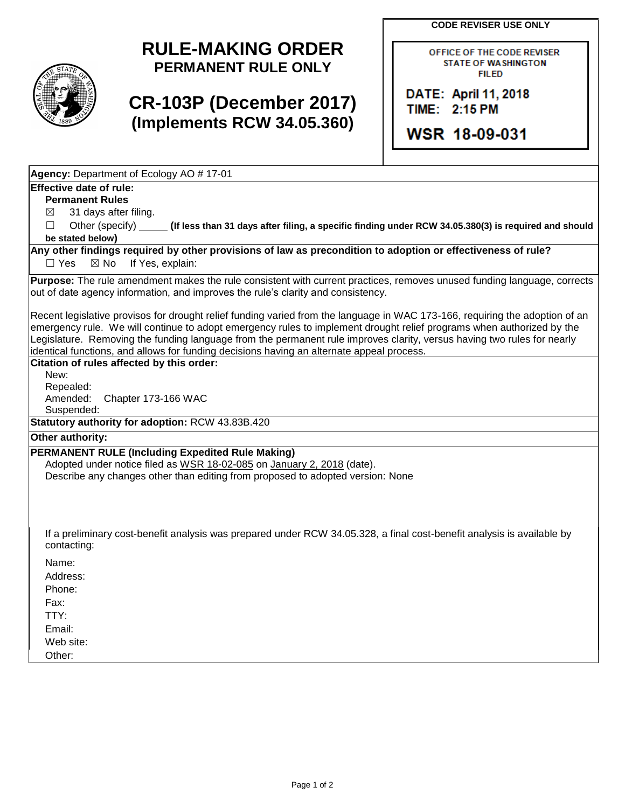**CODE REVISER USE ONLY**

## **RULE-MAKING ORDER PERMANENT RULE ONLY**

# **CR-103P (December 2017) (Implements RCW 34.05.360)**

OFFICE OF THE CODE REVISER **STATE OF WASHINGTON FILED** 

DATE: April 11, 2018 TIME: 2:15 PM

WSR 18-09-031

**Agency:** Department of Ecology AO # 17-01

## **Effective date of rule:**

**Permanent Rules**

 $\boxtimes$  31 days after filing.

☐ Other (specify) **(If less than 31 days after filing, a specific finding under RCW 34.05.380(3) is required and should be stated below)**

#### **Any other findings required by other provisions of law as precondition to adoption or effectiveness of rule?** □ Yes ⊠ No If Yes, explain:

**Purpose:** The rule amendment makes the rule consistent with current practices, removes unused funding language, corrects out of date agency information, and improves the rule's clarity and consistency.

Recent legislative provisos for drought relief funding varied from the language in WAC 173-166, requiring the adoption of an emergency rule. We will continue to adopt emergency rules to implement drought relief programs when authorized by the Legislature. Removing the funding language from the permanent rule improves clarity, versus having two rules for nearly identical functions, and allows for funding decisions having an alternate appeal process.

## **Citation of rules affected by this order:**

New: Repealed: Amended: Chapter 173-166 WAC Suspended:

**Statutory authority for adoption:** RCW 43.83B.420

## **Other authority:**

## **PERMANENT RULE (Including Expedited Rule Making)**

Adopted under notice filed as WSR 18-02-085 on January 2, 2018 (date). Describe any changes other than editing from proposed to adopted version: None

If a preliminary cost-benefit analysis was prepared under RCW 34.05.328, a final cost-benefit analysis is available by contacting:

Name:

Address:

Phone:

Fax:

TTY:

Email:

Web site:

Other: